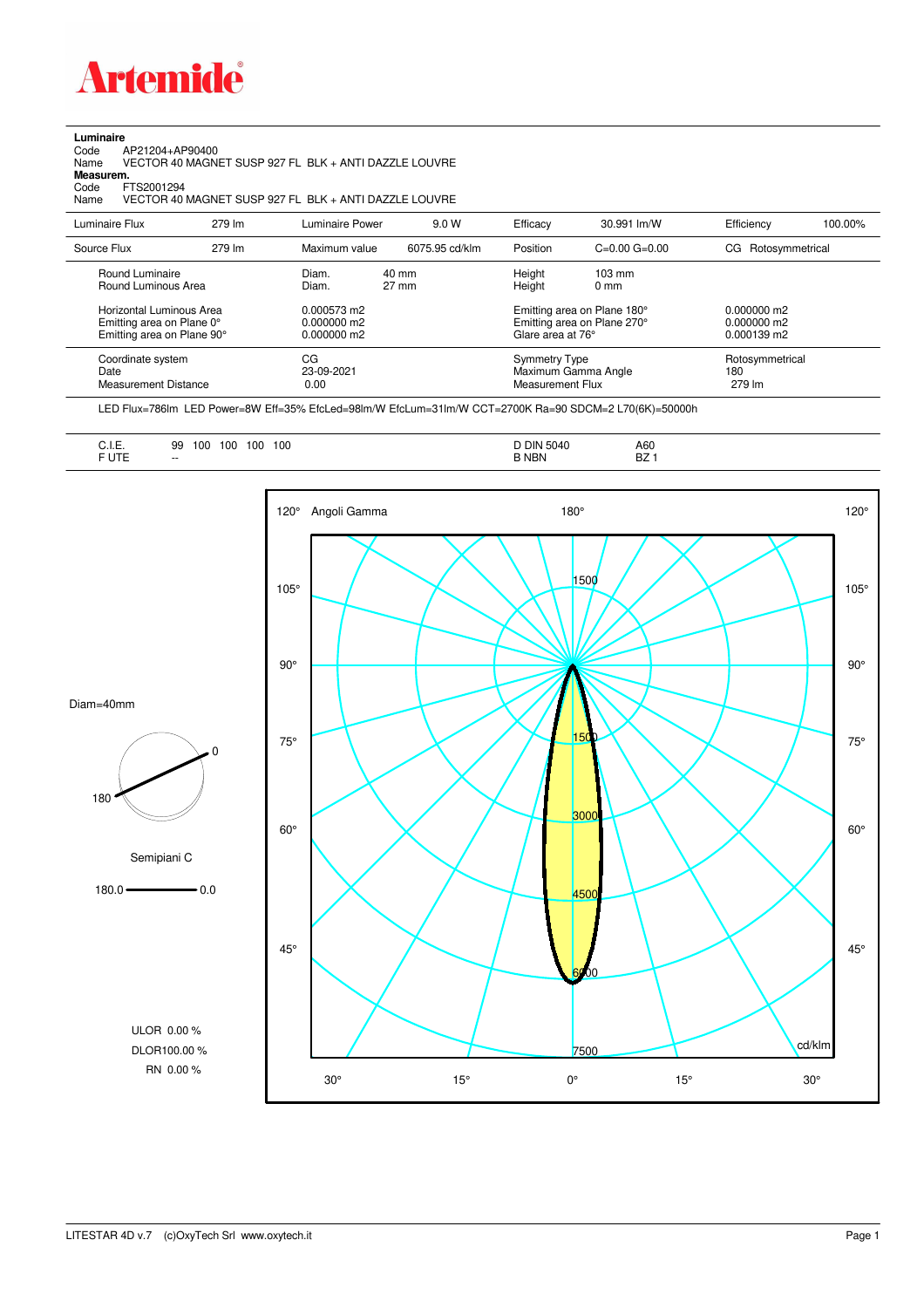

**Luminaire**<br>Code<br>Name Code AP21204+AP90400 Name VECTOR 40 MAGNET SUSP 927 FL BLK + ANTI DAZZLE LOUVRE

**Measurem.**

Code FTS2001294<br>Name VECTOR 40 Name VECTOR 40 MAGNET SUSP 927 FL BLK + ANTI DAZZLE LOUVRE

| Luminaire Flux                                                                                                                | 279 lm | Luminaire Power                                                 | 9.0 W                    | Efficacy                                 | 30.991 lm/W                                                                                                                               | Efficiency                       | 100.00% |
|-------------------------------------------------------------------------------------------------------------------------------|--------|-----------------------------------------------------------------|--------------------------|------------------------------------------|-------------------------------------------------------------------------------------------------------------------------------------------|----------------------------------|---------|
| Source Flux                                                                                                                   | 279 lm | Maximum value                                                   | 6075.95 cd/klm           | Position                                 | $C=0.00$ $G=0.00$                                                                                                                         | CG Rotosymmetrical               |         |
| Round Luminaire<br>Round Luminous Area<br>Horizontal Luminous Area<br>Emitting area on Plane 0°<br>Emitting area on Plane 90° |        | Diam.<br>Diam.<br>0.000573 m2<br>$0.000000$ m2<br>$0.000000$ m2 | 40 mm<br>$27 \text{ mm}$ |                                          | Height<br>$103 \text{ mm}$<br>Height<br>$0 \text{ mm}$<br>Emitting area on Plane 180°<br>Emitting area on Plane 270°<br>Glare area at 76° |                                  |         |
| Coordinate system<br>Date<br>Measurement Distance                                                                             |        | CG<br>23-09-2021<br>0.00                                        |                          | <b>Symmetry Type</b><br>Measurement Flux | Maximum Gamma Angle                                                                                                                       | Rotosymmetrical<br>180<br>279 lm |         |

LED Flux=786lm LED Power=8W Eff=35% EfcLed=98lm/W EfcLum=31lm/W CCT=2700K Ra=90 SDCM=2 L70(6K)=50000h